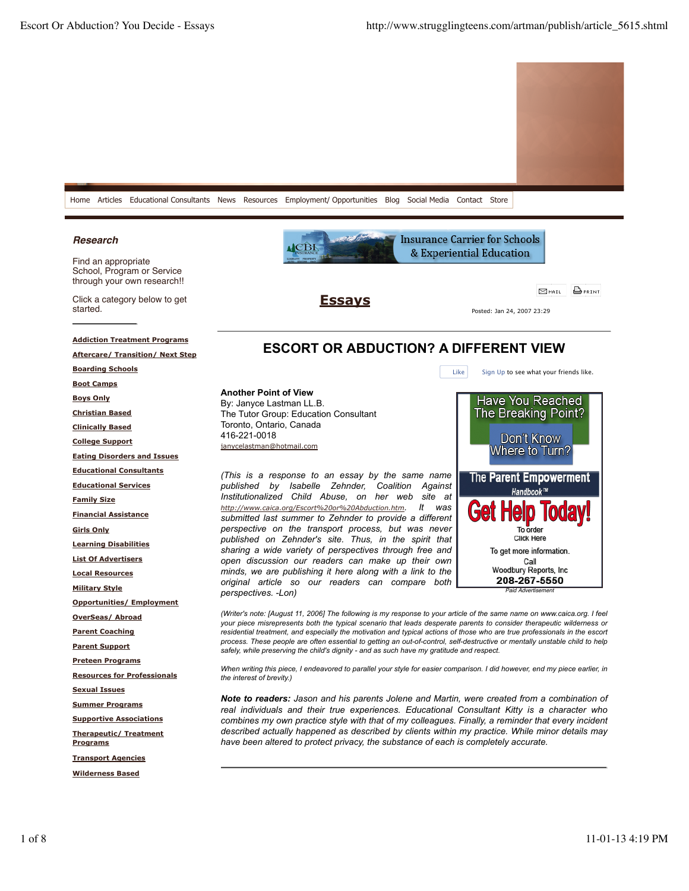

## *Research*

Find an appropriate School, Program or Service through your own research!!

Click a category below to get started.

**Another Point of View** By: Janyce Lastman LL.B.

Toronto, Ontario, Canada

janycelastman@hotmail.com

416-221-0018

The Tutor Group: Education Consultant

**ESSAVS** 

Posted: Jan 24, 2007 23:29

& Experiential Education

## **Addiction Treatment Programs**

**Aftercare/ Transition/ Next Step**

**Boarding Schools**

**Boot Camps**

**Boys Only**

**Christian Based**

**Clinically Based**

**College Support**

**Eating Disorders and Issues**

**Educational Consultants**

**Educational Services**

**Family Size**

**Financial Assistance**

**Girls Only**

**Learning Disabilities List Of Advertisers**

**Local Resources**

**Military Style**

**Opportunities/ Employment**

**OverSeas/ Abroad**

**Parent Coaching**

**Parent Support**

**Preteen Programs**

**Resources for Professionals**

**Sexual Issues**

**Summer Programs**

**Supportive Associations**

**Therapeutic/ Treatment Programs**

**Transport Agencies**

**Wilderness Based**



*open discussion our readers can make up their own* Call Woodbury Reports, Inc *minds, we are publishing it here along with a link to the* 208-267-5550 *original article so our readers can compare both perspectives. -Lon) Paid Advertisement (Writer's note: [August 11, 2006] The following is my response to your article of the same name on www.caica.org. I feel*

*your piece misrepresents both the typical scenario that leads desperate parents to consider therapeutic wilderness or residential treatment, and especially the motivation and typical actions of those who are true professionals in the escort process. These people are often essential to getting an out-of-control, self-destructive or mentally unstable child to help safely, while preserving the child's dignity - and as such have my gratitude and respect.*

**ESCORT OR ABDUCTION? A DIFFERENT VIEW**

*When writing this piece, I endeavored to parallel your style for easier comparison. I did however, end my piece earlier, in the interest of brevity.)*

*Note to readers: Jason and his parents Jolene and Martin, were created from a combination of real individuals and their true experiences. Educational Consultant Kitty is a character who combines my own practice style with that of my colleagues. Finally, a reminder that every incident described actually happened as described by clients within my practice. While minor details may have been altered to protect privacy, the substance of each is completely accurate.*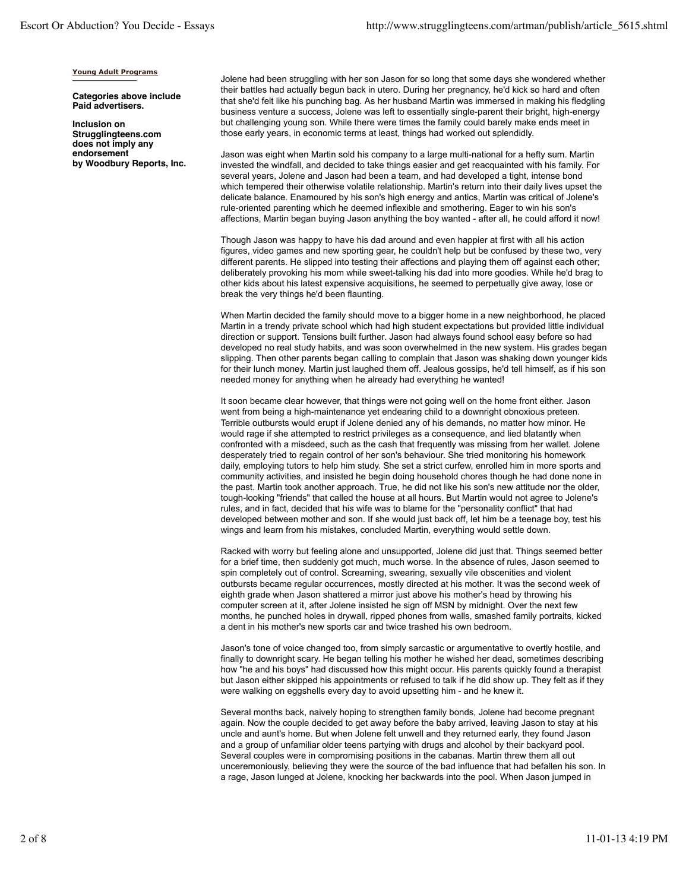## **Young Adult Programs**

**Categories above include Paid advertisers.**

**Inclusion on Strugglingteens.com does not imply any endorsement by Woodbury Reports, Inc.** Jolene had been struggling with her son Jason for so long that some days she wondered whether their battles had actually begun back in utero. During her pregnancy, he'd kick so hard and often that she'd felt like his punching bag. As her husband Martin was immersed in making his fledgling business venture a success, Jolene was left to essentially single-parent their bright, high-energy but challenging young son. While there were times the family could barely make ends meet in those early years, in economic terms at least, things had worked out splendidly.

Jason was eight when Martin sold his company to a large multi-national for a hefty sum. Martin invested the windfall, and decided to take things easier and get reacquainted with his family. For several years, Jolene and Jason had been a team, and had developed a tight, intense bond which tempered their otherwise volatile relationship. Martin's return into their daily lives upset the delicate balance. Enamoured by his son's high energy and antics, Martin was critical of Jolene's rule-oriented parenting which he deemed inflexible and smothering. Eager to win his son's affections, Martin began buying Jason anything the boy wanted - after all, he could afford it now!

Though Jason was happy to have his dad around and even happier at first with all his action figures, video games and new sporting gear, he couldn't help but be confused by these two, very different parents. He slipped into testing their affections and playing them off against each other; deliberately provoking his mom while sweet-talking his dad into more goodies. While he'd brag to other kids about his latest expensive acquisitions, he seemed to perpetually give away, lose or break the very things he'd been flaunting.

When Martin decided the family should move to a bigger home in a new neighborhood, he placed Martin in a trendy private school which had high student expectations but provided little individual direction or support. Tensions built further. Jason had always found school easy before so had developed no real study habits, and was soon overwhelmed in the new system. His grades began slipping. Then other parents began calling to complain that Jason was shaking down younger kids for their lunch money. Martin just laughed them off. Jealous gossips, he'd tell himself, as if his son needed money for anything when he already had everything he wanted!

It soon became clear however, that things were not going well on the home front either. Jason went from being a high-maintenance yet endearing child to a downright obnoxious preteen. Terrible outbursts would erupt if Jolene denied any of his demands, no matter how minor. He would rage if she attempted to restrict privileges as a consequence, and lied blatantly when confronted with a misdeed, such as the cash that frequently was missing from her wallet. Jolene desperately tried to regain control of her son's behaviour. She tried monitoring his homework daily, employing tutors to help him study. She set a strict curfew, enrolled him in more sports and community activities, and insisted he begin doing household chores though he had done none in the past. Martin took another approach. True, he did not like his son's new attitude nor the older, tough-looking "friends" that called the house at all hours. But Martin would not agree to Jolene's rules, and in fact, decided that his wife was to blame for the "personality conflict" that had developed between mother and son. If she would just back off, let him be a teenage boy, test his wings and learn from his mistakes, concluded Martin, everything would settle down.

Racked with worry but feeling alone and unsupported, Jolene did just that. Things seemed better for a brief time, then suddenly got much, much worse. In the absence of rules, Jason seemed to spin completely out of control. Screaming, swearing, sexually vile obscenities and violent outbursts became regular occurrences, mostly directed at his mother. It was the second week of eighth grade when Jason shattered a mirror just above his mother's head by throwing his computer screen at it, after Jolene insisted he sign off MSN by midnight. Over the next few months, he punched holes in drywall, ripped phones from walls, smashed family portraits, kicked a dent in his mother's new sports car and twice trashed his own bedroom.

Jason's tone of voice changed too, from simply sarcastic or argumentative to overtly hostile, and finally to downright scary. He began telling his mother he wished her dead, sometimes describing how "he and his boys" had discussed how this might occur. His parents quickly found a therapist but Jason either skipped his appointments or refused to talk if he did show up. They felt as if they were walking on eggshells every day to avoid upsetting him - and he knew it.

Several months back, naively hoping to strengthen family bonds, Jolene had become pregnant again. Now the couple decided to get away before the baby arrived, leaving Jason to stay at his uncle and aunt's home. But when Jolene felt unwell and they returned early, they found Jason and a group of unfamiliar older teens partying with drugs and alcohol by their backyard pool. Several couples were in compromising positions in the cabanas. Martin threw them all out unceremoniously, believing they were the source of the bad influence that had befallen his son. In a rage, Jason lunged at Jolene, knocking her backwards into the pool. When Jason jumped in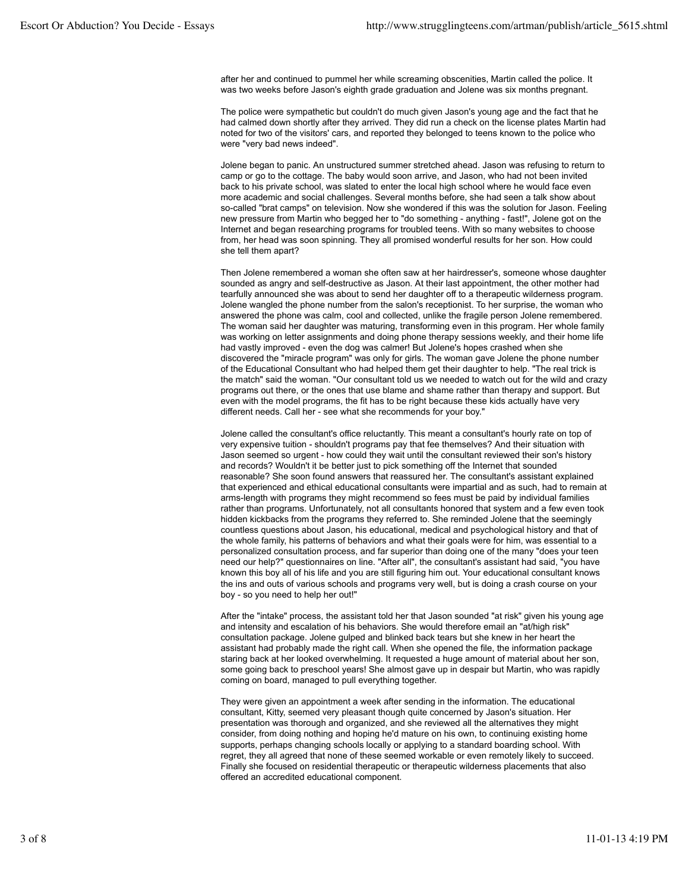after her and continued to pummel her while screaming obscenities, Martin called the police. It was two weeks before Jason's eighth grade graduation and Jolene was six months pregnant.

The police were sympathetic but couldn't do much given Jason's young age and the fact that he had calmed down shortly after they arrived. They did run a check on the license plates Martin had noted for two of the visitors' cars, and reported they belonged to teens known to the police who were "very bad news indeed".

Jolene began to panic. An unstructured summer stretched ahead. Jason was refusing to return to camp or go to the cottage. The baby would soon arrive, and Jason, who had not been invited back to his private school, was slated to enter the local high school where he would face even more academic and social challenges. Several months before, she had seen a talk show about so-called "brat camps" on television. Now she wondered if this was the solution for Jason. Feeling new pressure from Martin who begged her to "do something - anything - fast!", Jolene got on the Internet and began researching programs for troubled teens. With so many websites to choose from, her head was soon spinning. They all promised wonderful results for her son. How could she tell them apart?

Then Jolene remembered a woman she often saw at her hairdresser's, someone whose daughter sounded as angry and self-destructive as Jason. At their last appointment, the other mother had tearfully announced she was about to send her daughter off to a therapeutic wilderness program. Jolene wangled the phone number from the salon's receptionist. To her surprise, the woman who answered the phone was calm, cool and collected, unlike the fragile person Jolene remembered. The woman said her daughter was maturing, transforming even in this program. Her whole family was working on letter assignments and doing phone therapy sessions weekly, and their home life had vastly improved - even the dog was calmer! But Jolene's hopes crashed when she discovered the "miracle program" was only for girls. The woman gave Jolene the phone number of the Educational Consultant who had helped them get their daughter to help. "The real trick is the match" said the woman. "Our consultant told us we needed to watch out for the wild and crazy programs out there, or the ones that use blame and shame rather than therapy and support. But even with the model programs, the fit has to be right because these kids actually have very different needs. Call her - see what she recommends for your boy."

Jolene called the consultant's office reluctantly. This meant a consultant's hourly rate on top of very expensive tuition - shouldn't programs pay that fee themselves? And their situation with Jason seemed so urgent - how could they wait until the consultant reviewed their son's history and records? Wouldn't it be better just to pick something off the Internet that sounded reasonable? She soon found answers that reassured her. The consultant's assistant explained that experienced and ethical educational consultants were impartial and as such, had to remain at arms-length with programs they might recommend so fees must be paid by individual families rather than programs. Unfortunately, not all consultants honored that system and a few even took hidden kickbacks from the programs they referred to. She reminded Jolene that the seemingly countless questions about Jason, his educational, medical and psychological history and that of the whole family, his patterns of behaviors and what their goals were for him, was essential to a personalized consultation process, and far superior than doing one of the many "does your teen need our help?" questionnaires on line. "After all", the consultant's assistant had said, "you have known this boy all of his life and you are still figuring him out. Your educational consultant knows the ins and outs of various schools and programs very well, but is doing a crash course on your boy - so you need to help her out!"

After the "intake" process, the assistant told her that Jason sounded "at risk" given his young age and intensity and escalation of his behaviors. She would therefore email an "at/high risk" consultation package. Jolene gulped and blinked back tears but she knew in her heart the assistant had probably made the right call. When she opened the file, the information package staring back at her looked overwhelming. It requested a huge amount of material about her son, some going back to preschool years! She almost gave up in despair but Martin, who was rapidly coming on board, managed to pull everything together.

They were given an appointment a week after sending in the information. The educational consultant, Kitty, seemed very pleasant though quite concerned by Jason's situation. Her presentation was thorough and organized, and she reviewed all the alternatives they might consider, from doing nothing and hoping he'd mature on his own, to continuing existing home supports, perhaps changing schools locally or applying to a standard boarding school. With regret, they all agreed that none of these seemed workable or even remotely likely to succeed. Finally she focused on residential therapeutic or therapeutic wilderness placements that also offered an accredited educational component.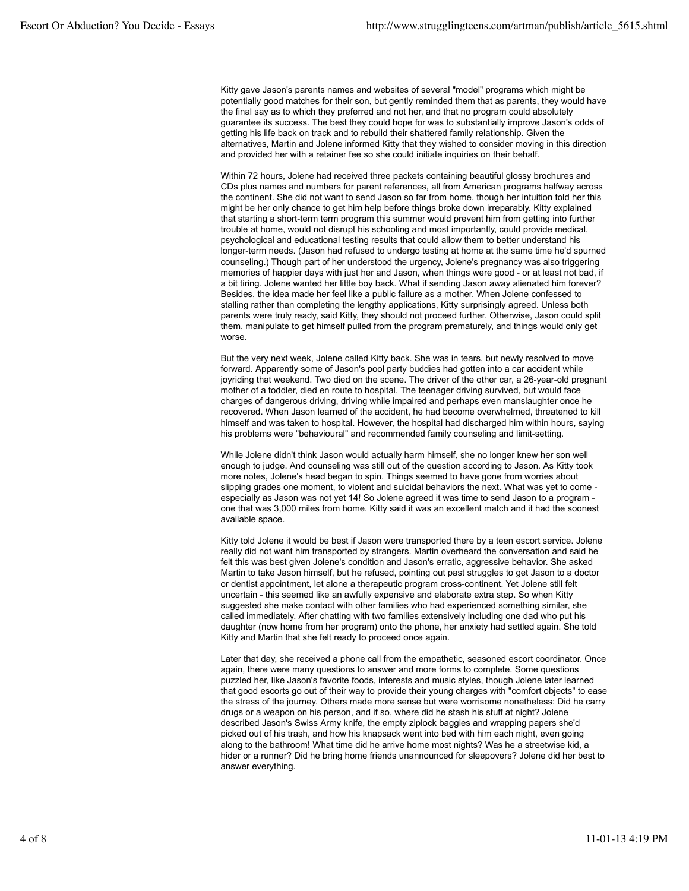Kitty gave Jason's parents names and websites of several "model" programs which might be potentially good matches for their son, but gently reminded them that as parents, they would have the final say as to which they preferred and not her, and that no program could absolutely guarantee its success. The best they could hope for was to substantially improve Jason's odds of getting his life back on track and to rebuild their shattered family relationship. Given the alternatives, Martin and Jolene informed Kitty that they wished to consider moving in this direction and provided her with a retainer fee so she could initiate inquiries on their behalf.

Within 72 hours, Jolene had received three packets containing beautiful glossy brochures and CDs plus names and numbers for parent references, all from American programs halfway across the continent. She did not want to send Jason so far from home, though her intuition told her this might be her only chance to get him help before things broke down irreparably. Kitty explained that starting a short-term term program this summer would prevent him from getting into further trouble at home, would not disrupt his schooling and most importantly, could provide medical, psychological and educational testing results that could allow them to better understand his longer-term needs. (Jason had refused to undergo testing at home at the same time he'd spurned counseling.) Though part of her understood the urgency, Jolene's pregnancy was also triggering memories of happier days with just her and Jason, when things were good - or at least not bad, if a bit tiring. Jolene wanted her little boy back. What if sending Jason away alienated him forever? Besides, the idea made her feel like a public failure as a mother. When Jolene confessed to stalling rather than completing the lengthy applications, Kitty surprisingly agreed. Unless both parents were truly ready, said Kitty, they should not proceed further. Otherwise, Jason could split them, manipulate to get himself pulled from the program prematurely, and things would only get worse.

But the very next week, Jolene called Kitty back. She was in tears, but newly resolved to move forward. Apparently some of Jason's pool party buddies had gotten into a car accident while joyriding that weekend. Two died on the scene. The driver of the other car, a 26-year-old pregnant mother of a toddler, died en route to hospital. The teenager driving survived, but would face charges of dangerous driving, driving while impaired and perhaps even manslaughter once he recovered. When Jason learned of the accident, he had become overwhelmed, threatened to kill himself and was taken to hospital. However, the hospital had discharged him within hours, saying his problems were "behavioural" and recommended family counseling and limit-setting.

While Jolene didn't think Jason would actually harm himself, she no longer knew her son well enough to judge. And counseling was still out of the question according to Jason. As Kitty took more notes, Jolene's head began to spin. Things seemed to have gone from worries about slipping grades one moment, to violent and suicidal behaviors the next. What was yet to come especially as Jason was not yet 14! So Jolene agreed it was time to send Jason to a program one that was 3,000 miles from home. Kitty said it was an excellent match and it had the soonest available space.

Kitty told Jolene it would be best if Jason were transported there by a teen escort service. Jolene really did not want him transported by strangers. Martin overheard the conversation and said he felt this was best given Jolene's condition and Jason's erratic, aggressive behavior. She asked Martin to take Jason himself, but he refused, pointing out past struggles to get Jason to a doctor or dentist appointment, let alone a therapeutic program cross-continent. Yet Jolene still felt uncertain - this seemed like an awfully expensive and elaborate extra step. So when Kitty suggested she make contact with other families who had experienced something similar, she called immediately. After chatting with two families extensively including one dad who put his daughter (now home from her program) onto the phone, her anxiety had settled again. She told Kitty and Martin that she felt ready to proceed once again.

Later that day, she received a phone call from the empathetic, seasoned escort coordinator. Once again, there were many questions to answer and more forms to complete. Some questions puzzled her, like Jason's favorite foods, interests and music styles, though Jolene later learned that good escorts go out of their way to provide their young charges with "comfort objects" to ease the stress of the journey. Others made more sense but were worrisome nonetheless: Did he carry drugs or a weapon on his person, and if so, where did he stash his stuff at night? Jolene described Jason's Swiss Army knife, the empty ziplock baggies and wrapping papers she'd picked out of his trash, and how his knapsack went into bed with him each night, even going along to the bathroom! What time did he arrive home most nights? Was he a streetwise kid, a hider or a runner? Did he bring home friends unannounced for sleepovers? Jolene did her best to answer everything.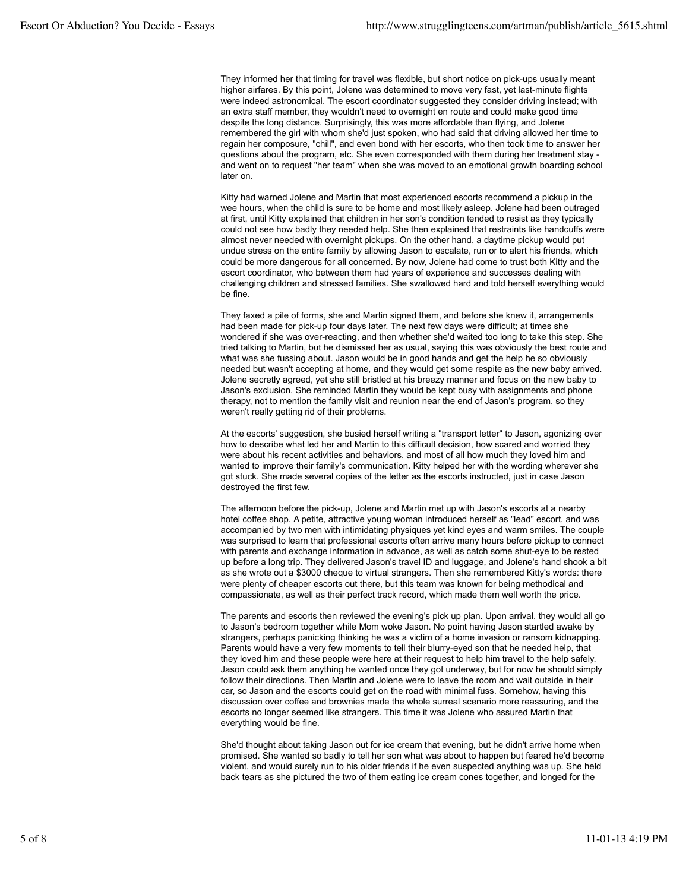They informed her that timing for travel was flexible, but short notice on pick-ups usually meant higher airfares. By this point, Jolene was determined to move very fast, yet last-minute flights were indeed astronomical. The escort coordinator suggested they consider driving instead; with an extra staff member, they wouldn't need to overnight en route and could make good time despite the long distance. Surprisingly, this was more affordable than flying, and Jolene remembered the girl with whom she'd just spoken, who had said that driving allowed her time to regain her composure, "chill", and even bond with her escorts, who then took time to answer her questions about the program, etc. She even corresponded with them during her treatment stay and went on to request "her team" when she was moved to an emotional growth boarding school later on.

Kitty had warned Jolene and Martin that most experienced escorts recommend a pickup in the wee hours, when the child is sure to be home and most likely asleep. Jolene had been outraged at first, until Kitty explained that children in her son's condition tended to resist as they typically could not see how badly they needed help. She then explained that restraints like handcuffs were almost never needed with overnight pickups. On the other hand, a daytime pickup would put undue stress on the entire family by allowing Jason to escalate, run or to alert his friends, which could be more dangerous for all concerned. By now, Jolene had come to trust both Kitty and the escort coordinator, who between them had years of experience and successes dealing with challenging children and stressed families. She swallowed hard and told herself everything would be fine.

They faxed a pile of forms, she and Martin signed them, and before she knew it, arrangements had been made for pick-up four days later. The next few days were difficult; at times she wondered if she was over-reacting, and then whether she'd waited too long to take this step. She tried talking to Martin, but he dismissed her as usual, saying this was obviously the best route and what was she fussing about. Jason would be in good hands and get the help he so obviously needed but wasn't accepting at home, and they would get some respite as the new baby arrived. Jolene secretly agreed, yet she still bristled at his breezy manner and focus on the new baby to Jason's exclusion. She reminded Martin they would be kept busy with assignments and phone therapy, not to mention the family visit and reunion near the end of Jason's program, so they weren't really getting rid of their problems.

At the escorts' suggestion, she busied herself writing a "transport letter" to Jason, agonizing over how to describe what led her and Martin to this difficult decision, how scared and worried they were about his recent activities and behaviors, and most of all how much they loved him and wanted to improve their family's communication. Kitty helped her with the wording wherever she got stuck. She made several copies of the letter as the escorts instructed, just in case Jason destroyed the first few.

The afternoon before the pick-up, Jolene and Martin met up with Jason's escorts at a nearby hotel coffee shop. A petite, attractive young woman introduced herself as "lead" escort, and was accompanied by two men with intimidating physiques yet kind eyes and warm smiles. The couple was surprised to learn that professional escorts often arrive many hours before pickup to connect with parents and exchange information in advance, as well as catch some shut-eye to be rested up before a long trip. They delivered Jason's travel ID and luggage, and Jolene's hand shook a bit as she wrote out a \$3000 cheque to virtual strangers. Then she remembered Kitty's words: there were plenty of cheaper escorts out there, but this team was known for being methodical and compassionate, as well as their perfect track record, which made them well worth the price.

The parents and escorts then reviewed the evening's pick up plan. Upon arrival, they would all go to Jason's bedroom together while Mom woke Jason. No point having Jason startled awake by strangers, perhaps panicking thinking he was a victim of a home invasion or ransom kidnapping. Parents would have a very few moments to tell their blurry-eyed son that he needed help, that they loved him and these people were here at their request to help him travel to the help safely. Jason could ask them anything he wanted once they got underway, but for now he should simply follow their directions. Then Martin and Jolene were to leave the room and wait outside in their car, so Jason and the escorts could get on the road with minimal fuss. Somehow, having this discussion over coffee and brownies made the whole surreal scenario more reassuring, and the escorts no longer seemed like strangers. This time it was Jolene who assured Martin that everything would be fine.

She'd thought about taking Jason out for ice cream that evening, but he didn't arrive home when promised. She wanted so badly to tell her son what was about to happen but feared he'd become violent, and would surely run to his older friends if he even suspected anything was up. She held back tears as she pictured the two of them eating ice cream cones together, and longed for the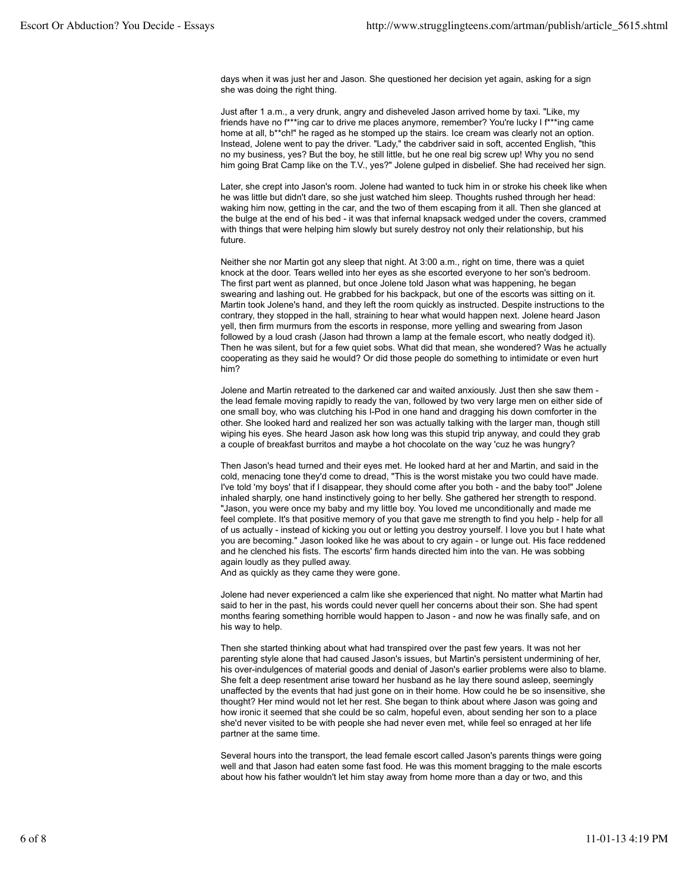days when it was just her and Jason. She questioned her decision yet again, asking for a sign she was doing the right thing.

Just after 1 a.m., a very drunk, angry and disheveled Jason arrived home by taxi. "Like, my friends have no f\*\*\*ing car to drive me places anymore, remember? You're lucky I f\*\*\*ing came home at all, b\*\*ch!" he raged as he stomped up the stairs. Ice cream was clearly not an option. Instead, Jolene went to pay the driver. "Lady," the cabdriver said in soft, accented English, "this no my business, yes? But the boy, he still little, but he one real big screw up! Why you no send him going Brat Camp like on the T.V., yes?" Jolene gulped in disbelief. She had received her sign.

Later, she crept into Jason's room. Jolene had wanted to tuck him in or stroke his cheek like when he was little but didn't dare, so she just watched him sleep. Thoughts rushed through her head: waking him now, getting in the car, and the two of them escaping from it all. Then she glanced at the bulge at the end of his bed - it was that infernal knapsack wedged under the covers, crammed with things that were helping him slowly but surely destroy not only their relationship, but his future.

Neither she nor Martin got any sleep that night. At 3:00 a.m., right on time, there was a quiet knock at the door. Tears welled into her eyes as she escorted everyone to her son's bedroom. The first part went as planned, but once Jolene told Jason what was happening, he began swearing and lashing out. He grabbed for his backpack, but one of the escorts was sitting on it. Martin took Jolene's hand, and they left the room quickly as instructed. Despite instructions to the contrary, they stopped in the hall, straining to hear what would happen next. Jolene heard Jason yell, then firm murmurs from the escorts in response, more yelling and swearing from Jason followed by a loud crash (Jason had thrown a lamp at the female escort, who neatly dodged it). Then he was silent, but for a few quiet sobs. What did that mean, she wondered? Was he actually cooperating as they said he would? Or did those people do something to intimidate or even hurt him?

Jolene and Martin retreated to the darkened car and waited anxiously. Just then she saw them the lead female moving rapidly to ready the van, followed by two very large men on either side of one small boy, who was clutching his I-Pod in one hand and dragging his down comforter in the other. She looked hard and realized her son was actually talking with the larger man, though still wiping his eyes. She heard Jason ask how long was this stupid trip anyway, and could they grab a couple of breakfast burritos and maybe a hot chocolate on the way 'cuz he was hungry?

Then Jason's head turned and their eyes met. He looked hard at her and Martin, and said in the cold, menacing tone they'd come to dread, "This is the worst mistake you two could have made. I've told 'my boys' that if I disappear, they should come after you both - and the baby too!" Jolene inhaled sharply, one hand instinctively going to her belly. She gathered her strength to respond. "Jason, you were once my baby and my little boy. You loved me unconditionally and made me feel complete. It's that positive memory of you that gave me strength to find you help - help for all of us actually - instead of kicking you out or letting you destroy yourself. I love you but I hate what you are becoming." Jason looked like he was about to cry again - or lunge out. His face reddened and he clenched his fists. The escorts' firm hands directed him into the van. He was sobbing again loudly as they pulled away.

And as quickly as they came they were gone.

Jolene had never experienced a calm like she experienced that night. No matter what Martin had said to her in the past, his words could never quell her concerns about their son. She had spent months fearing something horrible would happen to Jason - and now he was finally safe, and on his way to help.

Then she started thinking about what had transpired over the past few years. It was not her parenting style alone that had caused Jason's issues, but Martin's persistent undermining of her, his over-indulgences of material goods and denial of Jason's earlier problems were also to blame. She felt a deep resentment arise toward her husband as he lay there sound asleep, seemingly unaffected by the events that had just gone on in their home. How could he be so insensitive, she thought? Her mind would not let her rest. She began to think about where Jason was going and how ironic it seemed that she could be so calm, hopeful even, about sending her son to a place she'd never visited to be with people she had never even met, while feel so enraged at her life partner at the same time.

Several hours into the transport, the lead female escort called Jason's parents things were going well and that Jason had eaten some fast food. He was this moment bragging to the male escorts about how his father wouldn't let him stay away from home more than a day or two, and this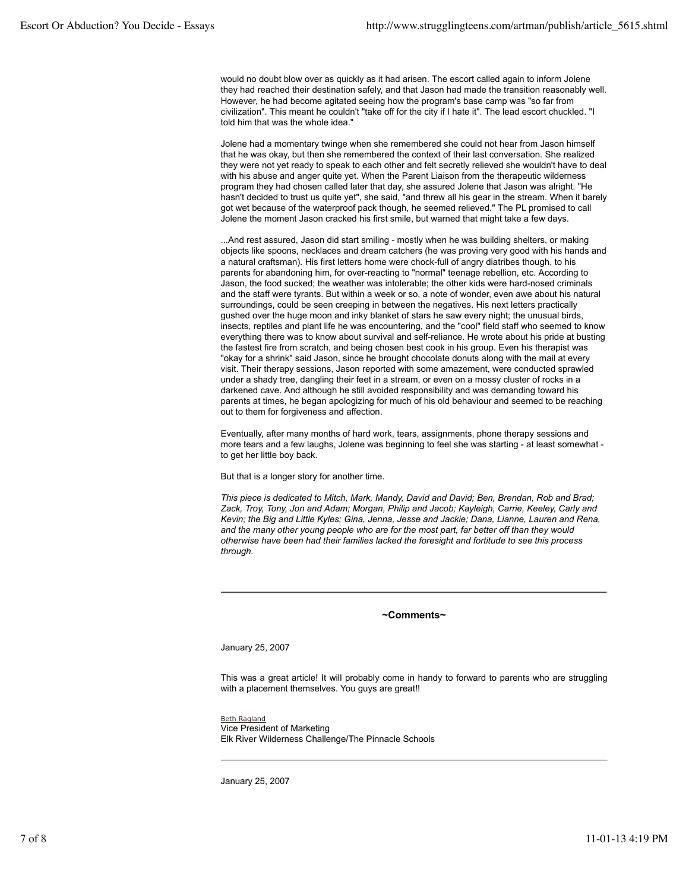would no doubt blow over as quickly as it had arisen. The escort called again to inform Jolene they had reached their destination safely, and that Jason had made the transition reasonably well. However, he had become agitated seeing how the program's base camp was "so far from civilization". This meant he couldn't "take off for the city if I hate it". The lead escort chuckled. "I told him that was the whole idea."

Jolene had a momentary twinge when she remembered she could not hear from Jason himself that he was okay, but then she remembered the context of their last conversation. She realized they were not yet ready to speak to each other and felt secretly relieved she wouldn't have to deal with his abuse and anger quite yet. When the Parent Liaison from the therapeutic wilderness program they had chosen called later that day, she assured Jolene that Jason was alright. "He hasn't decided to trust us quite yet", she said, "and threw all his gear in the stream. When it barely got wet because of the waterproof pack though, he seemed relieved." The PL promised to call Jolene the moment Jason cracked his first smile, but warned that might take a few days.

...And rest assured, Jason did start smiling - mostly when he was building shelters, or making objects like spoons, necklaces and dream catchers (he was proving very good with his hands and a natural craftsman). His first letters home were chock-full of angry diatribes though, to his parents for abandoning him, for over-reacting to "normal" teenage rebellion, etc. According to Jason, the food sucked; the weather was intolerable; the other kids were hard-nosed criminals and the staff were tyrants. But within a week or so, a note of wonder, even awe about his natural surroundings, could be seen creeping in between the negatives. His next letters practically gushed over the huge moon and inky blanket of stars he saw every night; the unusual birds, insects, reptiles and plant life he was encountering, and the "cool" field staff who seemed to know everything there was to know about survival and self-reliance. He wrote about his pride at busting the fastest fire from scratch, and being chosen best cook in his group. Even his therapist was "okay for a shrink" said Jason, since he brought chocolate donuts along with the mail at every visit. Their therapy sessions, Jason reported with some amazement, were conducted sprawled under a shady tree, dangling their feet in a stream, or even on a mossy cluster of rocks in a darkened cave. And although he still avoided responsibility and was demanding toward his parents at times, he began apologizing for much of his old behaviour and seemed to be reaching out to them for forgiveness and affection.

Eventually, after many months of hard work, tears, assignments, phone therapy sessions and more tears and a few laughs, Jolene was beginning to feel she was starting - at least somewhat to get her little boy back.

But that is a longer story for another time.

*This piece is dedicated to Mitch, Mark, Mandy, David and David; Ben, Brendan, Rob and Brad; Zack, Troy, Tony, Jon and Adam; Morgan, Philip and Jacob; Kayleigh, Carrie, Keeley, Carly and Kevin; the Big and Little Kyles; Gina, Jenna, Jesse and Jackie; Dana, Lianne, Lauren and Rena, and the many other young people who are for the most part, far better off than they would otherwise have been had their families lacked the foresight and fortitude to see this process through.*

## **~Comments~**

January 25, 2007

This was a great article! It will probably come in handy to forward to parents who are struggling with a placement themselves. You guys are great!!

Beth Ragland Vice President of Marketing Elk River Wilderness Challenge/The Pinnacle Schools

January 25, 2007